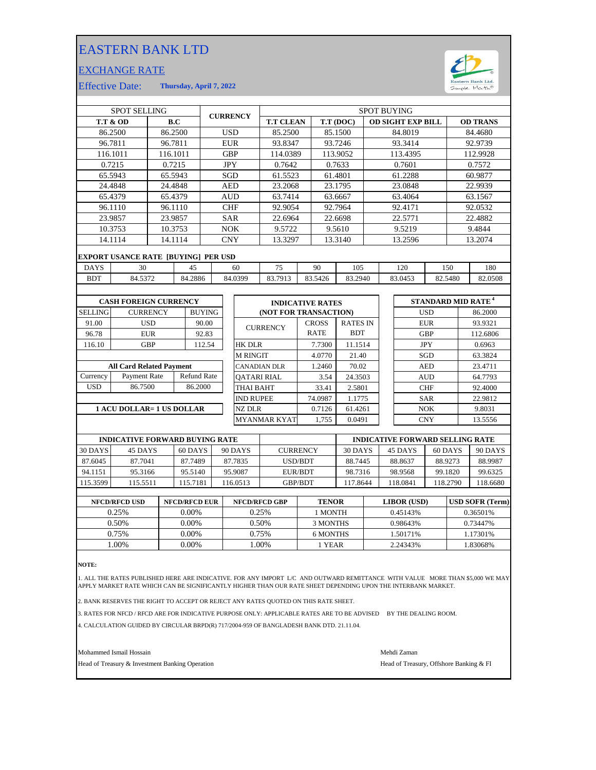## EASTERN BANK LTD

## EXCHANGE RATE



Effective Date: **Thursday, April 7, 2022**

| <b>SPOT SELLING</b>                        |                                  |                                    |            |                               | <b>CURRENCY</b> |                     | <b>SPOT BUYING</b>       |                       |              |         |                 |            |            |            |                                |         |          |
|--------------------------------------------|----------------------------------|------------------------------------|------------|-------------------------------|-----------------|---------------------|--------------------------|-----------------------|--------------|---------|-----------------|------------|------------|------------|--------------------------------|---------|----------|
| <b>T.T &amp; OD</b><br>B.C                 |                                  |                                    |            | <b>T.T CLEAN</b><br>T.T (DOC) |                 |                     | <b>OD SIGHT EXP BILL</b> |                       |              |         | <b>OD TRANS</b> |            |            |            |                                |         |          |
| 86.2500<br>86.2500                         |                                  |                                    | <b>USD</b> |                               | 85.2500         | 85.1500             |                          |                       | 84.8019      |         |                 |            |            | 84.4680    |                                |         |          |
| 96.7811                                    |                                  |                                    | 96.7811    |                               | <b>EUR</b>      |                     | 93.8347                  |                       | 93.7246      |         |                 | 93.3414    |            |            | 92.9739                        |         |          |
|                                            | 116.1011<br>116.1011             |                                    |            | <b>GBP</b>                    |                 | 114.0389            |                          |                       | 113.9052     |         |                 | 113.4395   |            | 112.9928   |                                |         |          |
| 0.7215                                     |                                  |                                    | 0.7215     |                               | <b>JPY</b>      |                     | 0.7642                   |                       | 0.7633       |         |                 | 0.7601     |            |            |                                | 0.7572  |          |
| 65.5943                                    |                                  |                                    | 65.5943    |                               | SGD             |                     | 61.5523                  |                       | 61.4801      |         | 61.2288         |            |            |            | 60.9877                        |         |          |
| 24.4848                                    |                                  | 24.4848                            |            | <b>AED</b>                    |                 |                     | 23.2068                  |                       | 23.1795      |         | 23.0848         |            |            | 22.9939    |                                |         |          |
|                                            | 65.4379                          |                                    | 65.4379    |                               | <b>AUD</b>      |                     | 63.7414                  |                       | 63.6667      |         | 63.4064         |            | 63.1567    |            |                                |         |          |
| 96.1110                                    |                                  |                                    | 96.1110    |                               | <b>CHF</b>      |                     | 92.9054                  |                       |              | 92.7964 |                 |            | 92.4171    |            | 92.0532                        |         |          |
|                                            | 23.9857<br>23.9857               |                                    |            |                               | <b>SAR</b>      |                     | 22.6964                  |                       | 22.6698      |         | 22.5771         |            |            |            | 22.4882                        |         |          |
|                                            | 10.3753<br>10.3753               |                                    |            |                               | <b>NOK</b>      |                     | 9.5722                   |                       | 9.5610       |         |                 | 9.5219     |            |            | 9.4844                         |         |          |
| 14.1114<br>14.1114                         |                                  |                                    | <b>CNY</b> |                               | 13.3297         |                     | 13.3140                  |                       |              | 13.2596 |                 |            | 13.2074    |            |                                |         |          |
| <b>EXPORT USANCE RATE [BUYING] PER USD</b> |                                  |                                    |            |                               |                 |                     |                          |                       |              |         |                 |            |            |            |                                |         |          |
| <b>DAYS</b>                                | 30<br>45                         |                                    |            |                               | 60              |                     |                          | 75                    | 90           |         | 105             |            |            | 120        | 150                            |         | 180      |
| <b>BDT</b>                                 | 84.5372                          |                                    |            | 84.2886                       |                 |                     | 84.0399                  | 83.7913               | 83.5426      |         | 83.2940         |            |            | 83.0453    | 82.5480                        |         | 82.0508  |
|                                            |                                  |                                    |            |                               |                 |                     |                          |                       |              |         |                 |            |            |            |                                |         |          |
| <b>CASH FOREIGN CURRENCY</b>               |                                  |                                    |            |                               |                 |                     | <b>INDICATIVE RATES</b>  |                       |              |         |                 |            |            |            | STANDARD MID RATE <sup>4</sup> |         |          |
| <b>SELLING</b>                             | <b>CURRENCY</b><br><b>BUYING</b> |                                    |            |                               |                 |                     |                          | (NOT FOR TRANSACTION) |              |         |                 | <b>USD</b> |            |            | 86.2000                        |         |          |
| 91.00                                      |                                  | <b>USD</b>                         |            | 90.00                         |                 |                     | <b>CURRENCY</b>          |                       | <b>CROSS</b> |         | <b>RATES IN</b> |            |            |            | <b>EUR</b>                     |         | 93.9321  |
| 96.78                                      |                                  | <b>EUR</b>                         | 92.83      |                               |                 |                     |                          |                       | <b>RATE</b>  |         | <b>BDT</b>      |            |            | <b>GBP</b> |                                |         | 112.6806 |
| 116.10                                     |                                  | <b>GBP</b>                         |            | 112.54                        |                 |                     | <b>HK DLR</b>            |                       |              | 7.7300  | 11.1514         |            |            | <b>JPY</b> |                                | 0.6963  |          |
|                                            |                                  |                                    |            |                               |                 |                     | <b>M RINGIT</b>          |                       |              | 4.0770  | 21.40           |            |            |            | SGD                            |         | 63.3824  |
| <b>All Card Related Payment</b>            |                                  |                                    |            |                               |                 | <b>CANADIAN DLR</b> |                          |                       | 1.2460       | 70.02   |                 |            |            | <b>AED</b> |                                | 23.4711 |          |
| Currency                                   |                                  | Payment Rate<br><b>Refund Rate</b> |            |                               |                 |                     | <b>OATARI RIAL</b>       |                       |              | 3.54    | 24.3503         |            |            |            | <b>AUD</b>                     |         | 64.7793  |
| <b>USD</b>                                 | 86.7500                          |                                    |            | 86.2000                       |                 |                     | THAI BAHT                |                       |              | 33.41   | 2.5801          |            |            |            | <b>CHF</b>                     |         | 92.4000  |
|                                            |                                  |                                    |            |                               |                 | <b>IND RUPEE</b>    |                          |                       | 74.0987      | 1.1775  |                 |            | <b>SAR</b> |            |                                | 22.9812 |          |
| <b>1 ACU DOLLAR= 1 US DOLLAR</b>           |                                  |                                    |            |                               |                 | <b>NZ DLR</b>       |                          |                       | 0.7126       | 61.4261 |                 |            | <b>NOK</b> |            |                                | 9.8031  |          |
|                                            |                                  |                                    |            |                               |                 |                     | <b>MYANMAR KYAT</b>      |                       | 1,755        | 0.0491  |                 |            |            | <b>CNY</b> |                                | 13.5556 |          |

|          | <b>INDICATIVE FORWARD BUYING RATE</b> |          |          |                 | <b>INDICATIVE FORWARD SELLING RATE</b> |          |          |          |  |
|----------|---------------------------------------|----------|----------|-----------------|----------------------------------------|----------|----------|----------|--|
| 30 DAYS  | 45 DAYS                               | 60 DAYS  | 90 DAYS  | <b>CURRENCY</b> | 30 DAYS                                | 45 DAYS  | 60 DAYS  | 90 DAYS  |  |
| 87.6045  | 87.7041                               | 87.7489  | 87.7835  | USD/BDT         | 88.7445                                | 88.8637  | 88.9273  | 88.9987  |  |
| 94.1151  | 95.3166                               | 95.5140  | 95.9087  | EUR/BDT         | 98.7316                                | 98.9568  | 99.1820  | 99.6325  |  |
| 115.3599 | 115.5511                              | 115.7181 | 116.0513 | <b>GBP/BDT</b>  | 17.8644                                | 118.0841 | 118.2790 | 118.6680 |  |
|          |                                       |          |          |                 |                                        |          |          |          |  |

| <b>NFCD/RFCD USD</b> | <b>NFCD/RFCD EUR</b> | NFCD/RFCD GBP | <b>TENOR</b> | LIBOR (USD) | <b>USD SOFR (Term)</b> |
|----------------------|----------------------|---------------|--------------|-------------|------------------------|
| 0.25%                | $0.00\%$             | 0.25%         | I MONTH      | 0.45143\%   | 0.36501\%              |
| 0.50%                | $0.00\%$             | 0.50%         | 3 MONTHS     | 0.98643%    | 0.73447%               |
| 0.75%                | 0.00%                | 0.75%         | 6 MONTHS     | 1.50171%    | 1.17301%               |
| .00%                 | 0.00%                | .00%          | 1 YEAR       | 2.24343%    | 1.83068%               |
|                      |                      |               |              |             |                        |

**NOTE:**

1. ALL THE RATES PUBLISHED HERE ARE INDICATIVE. FOR ANY IMPORT L/C AND OUTWARD REMITTANCE WITH VALUE MORE THAN \$5,000 WE MAY<br>APPLY MARKET RATE WHICH CAN BE SIGNIFICANTLY HIGHER THAN OUR RATE SHEET DEPENDING UPON THE IN

2. BANK RESERVES THE RIGHT TO ACCEPT OR REJECT ANY RATES QUOTED ON THIS RATE SHEET.

3. RATES FOR NFCD / RFCD ARE FOR INDICATIVE PURPOSE ONLY: APPLICABLE RATES ARE TO BE ADVISED BY THE DEALING ROOM.

4. CALCULATION GUIDED BY CIRCULAR BRPD(R) 717/2004-959 OF BANGLADESH BANK DTD. 21.11.04.

Mohammed Ismail Hossain Mehdi Zaman

Head of Treasury & Investment Banking Operation **Head of Treasury, Offshore Banking & FI**